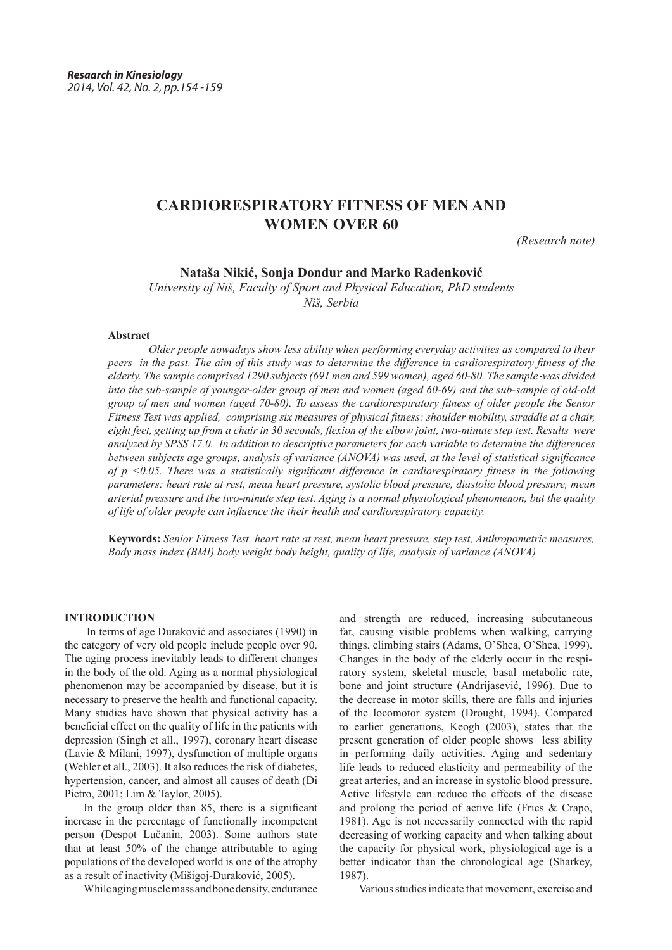# **CARDIORESPIRATORY FITNESS OF MEN AND WOMEN OVER 60**

*(Research note)*

# **Nataša Nikić, Sonja Dondur and Marko Radenković**

*University of Niš, Faculty of Sport and Physical Education, PhD students Niš, Serbia*

## **Abstract**

*Older people nowadays show less ability when performing everyday activities as compared to their peers in the past. The aim of this study was to determine the difference in cardiorespiratory fitness of the elderly. The sample comprised 1290 subjects (691 men and 599 women), aged 60-80. The sample was divided into the sub-sample of younger-older group of men and women (aged 60-69) and the sub-sample of old-old group of men and women (aged 70-80). To assess the cardiorespiratory fitness of older people the Senior Fitness Test was applied, comprising six measures of physical fitness: shoulder mobility, straddle at a chair, eight feet, getting up from a chair in 30 seconds, flexion of the elbow joint, two-minute step test. Results were analyzed by SPSS 17.0. In addition to descriptive parameters for each variable to determine the differences between subjects age groups, analysis of variance (ANOVA) was used, at the level of statistical significance of p <0.05. There was a statistically significant difference in cardiorespiratory fitness in the following parameters: heart rate at rest, mean heart pressure, systolic blood pressure, diastolic blood pressure, mean arterial pressure and the two-minute step test. Aging is a normal physiological phenomenon, but the quality of life of older people can influence the their health and cardiorespiratory capacity.*

**Keywords:** *Senior Fitness Test, heart rate at rest, mean heart pressure, step test, Anthropometric measures, Body mass index (BMI) body weight body height, quality of life, analysis of variance (ANOVA)*

## **INTRODUCTION**

 In terms of age Duraković and associates (1990) in the category of very old people include people over 90. The aging process inevitably leads to different changes in the body of the old. Aging as a normal physiological phenomenon may be accompanied by disease, but it is necessary to preserve the health and functional capacity. Many studies have shown that physical activity has a beneficial effect on the quality of life in the patients with depression (Singh et all., 1997), coronary heart disease (Lavie & Milani, 1997), dysfunction of multiple organs (Wehler et all., 2003). It also reduces the risk of diabetes, hypertension, cancer, and almost all causes of death (Di Pietro, 2001; Lim & Taylor, 2005).

In the group older than 85, there is a significant increase in the percentage of functionally incompetent person (Despot Lučanin, 2003). Some authors state that at least 50% of the change attributable to aging populations of the developed world is one of the atrophy as a result of inactivity (Mišigoj-Duraković, 2005).

While aging muscle mass and bone density, endurance

and strength are reduced, increasing subcutaneous fat, causing visible problems when walking, carrying things, climbing stairs (Adams, O'Shea, O'Shea, 1999). Changes in the body of the elderly occur in the respiratory system, skeletal muscle, basal metabolic rate, bone and joint structure (Andrijasević, 1996). Due to the decrease in motor skills, there are falls and injuries of the locomotor system (Drought, 1994). Compared to earlier generations, Keogh (2003), states that the present generation of older people shows less ability in performing daily activities. Aging and sedentary life leads to reduced elasticity and permeability of the great arteries, and an increase in systolic blood pressure. Active lifestyle can reduce the effects of the disease and prolong the period of active life (Fries & Crapo, 1981). Age is not necessarily connected with the rapid decreasing of working capacity and when talking about the capacity for physical work, physiological age is a better indicator than the chronological age (Sharkey, 1987).

Various studies indicate that movement, exercise and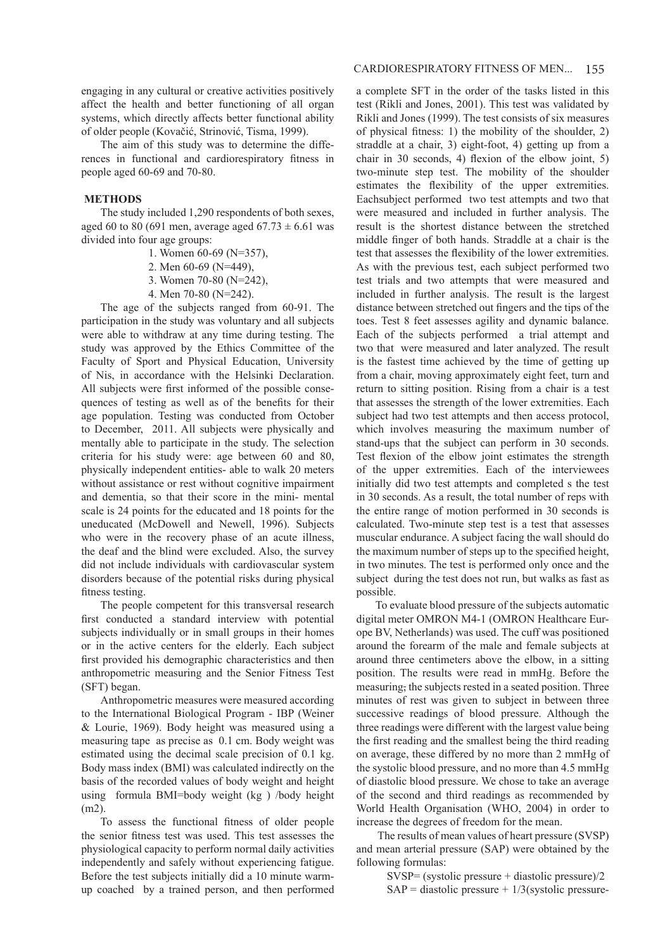engaging in any cultural or creative activities positively affect the health and better functioning of all organ systems, which directly affects better functional ability of older people (Kovačić, Strinović, Tisma, 1999).

The aim of this study was to determine the differences in functional and cardiorespiratory fitness in people aged 60-69 and 70-80.

## **METHODS**

The study included 1,290 respondents of both sexes, aged 60 to 80 (691 men, average aged 67.73  $\pm$  6.61 was divided into four age groups:

- 1. Women 60-69 (N=357),
- 2. Men 60-69 (N=449),
- 3. Women 70-80 (N=242),
- 4. Men 70-80 (N=242).

The age of the subjects ranged from 60-91. The participation in the study was voluntary and all subjects were able to withdraw at any time during testing. The study was approved by the Ethics Committee of the Faculty of Sport and Physical Education, University of Nis, in accordance with the Helsinki Declaration. All subjects were first informed of the possible consequences of testing as well as of the benefits for their age population. Testing was conducted from October to December, 2011. All subjects were physically and mentally able to participate in the study. The selection criteria for his study were: age between 60 and 80, physically independent entities- able to walk 20 meters without assistance or rest without cognitive impairment and dementia, so that their score in the mini- mental scale is 24 points for the educated and 18 points for the uneducated (McDowell and Newell, 1996). Subjects who were in the recovery phase of an acute illness, the deaf and the blind were excluded. Also, the survey did not include individuals with cardiovascular system disorders because of the potential risks during physical fitness testing.

The people competent for this transversal research first conducted a standard interview with potential subjects individually or in small groups in their homes or in the active centers for the elderly. Each subject first provided his demographic characteristics and then anthropometric measuring and the Senior Fitness Test (SFT) began.

Anthropometric measures were measured according to the International Biological Program - IBP (Weiner & Lourie, 1969). Body height was measured using a measuring tape as precise as 0.1 cm. Body weight was estimated using the decimal scale precision of 0.1 kg. Body mass index (BMI) was calculated indirectly on the basis of the recorded values of body weight and height using formula BMI=body weight (kg ) /body height (m2).

To assess the functional fitness of older people the senior fitness test was used. This test assesses the physiological capacity to perform normal daily activities independently and safely without experiencing fatigue. Before the test subjects initially did a 10 minute warmup coached by a trained person, and then performed

a complete SFT in the order of the tasks listed in this test (Rikli and Jones, 2001). This test was validated by Rikli and Jones (1999). The test consists of six measures of physical fitness: 1) the mobility of the shoulder, 2) straddle at a chair, 3) eight-foot, 4) getting up from a chair in 30 seconds, 4) flexion of the elbow joint, 5) two-minute step test. The mobility of the shoulder estimates the flexibility of the upper extremities. Eachsubject performed two test attempts and two that were measured and included in further analysis. The result is the shortest distance between the stretched middle finger of both hands. Straddle at a chair is the test that assesses the flexibility of the lower extremities. As with the previous test, each subject performed two test trials and two attempts that were measured and included in further analysis. The result is the largest distance between stretched out fingers and the tips of the toes. Test 8 feet assesses agility and dynamic balance. Each of the subjects performed a trial attempt and two that were measured and later analyzed. The result is the fastest time achieved by the time of getting up from a chair, moving approximately eight feet, turn and return to sitting position. Rising from a chair is a test that assesses the strength of the lower extremities. Each subject had two test attempts and then access protocol, which involves measuring the maximum number of stand-ups that the subject can perform in 30 seconds. Test flexion of the elbow joint estimates the strength of the upper extremities. Each of the interviewees initially did two test attempts and completed s the test in 30 seconds. As a result, the total number of reps with the entire range of motion performed in 30 seconds is calculated. Two-minute step test is a test that assesses muscular endurance. A subject facing the wall should do the maximum number of steps up to the specified height, in two minutes. The test is performed only once and the subject during the test does not run, but walks as fast as possible.

To evaluate blood pressure of the subjects automatic digital meter OMRON M4-1 (OMRON Healthcare Europe BV, Netherlands) was used. The cuff was positioned around the forearm of the male and female subjects at around three centimeters above the elbow, in a sitting position. The results were read in mmHg. Before the measuring, the subjects rested in a seated position. Three minutes of rest was given to subject in between three successive readings of blood pressure. Although the three readings were different with the largest value being the first reading and the smallest being the third reading on average, these differed by no more than 2 mmHg of the systolic blood pressure, and no more than 4.5 mmHg of diastolic blood pressure. We chose to take an average of the second and third readings as recommended by World Health Organisation (WHO, 2004) in order to increase the degrees of freedom for the mean.

 The results of mean values of heart pressure (SVSP) and mean arterial pressure (SAP) were obtained by the following formulas:

> SVSP= (systolic pressure + diastolic pressure)/2  $SAP =$  diastolic pressure +  $1/3$ (systolic pressure-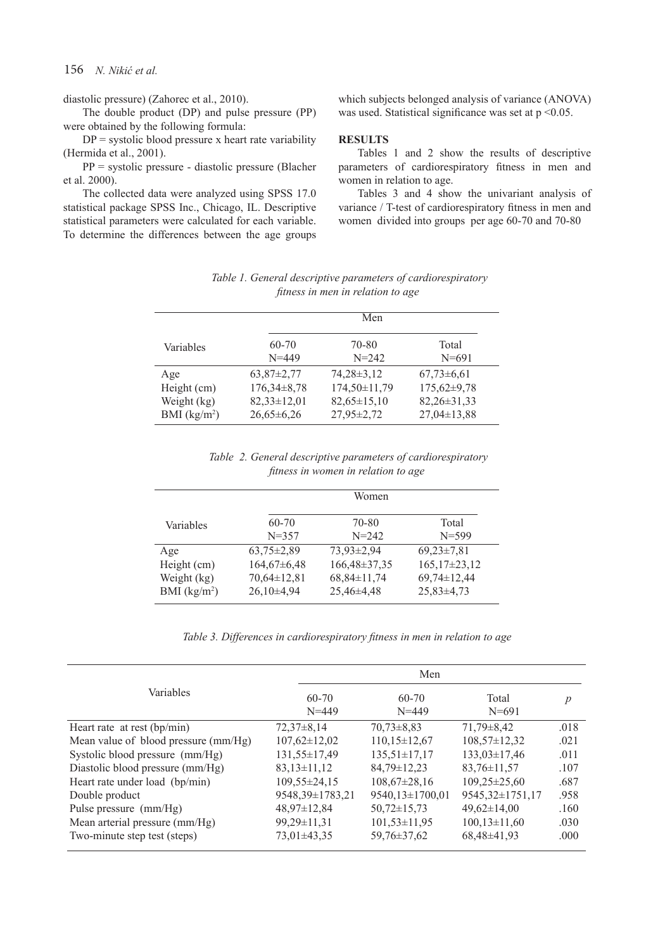# 156 *N. Nikić et al.*

diastolic pressure) (Zahorec et al., 2010).

The double product (DP) and pulse pressure (PP) were obtained by the following formula:

 $DP = systolic blood pressure x heart rate variability$ (Hermida et al., 2001).

PP = systolic pressure - diastolic pressure (Blacher et al. 2000).

The collected data were analyzed using SPSS 17.0 statistical package SPSS Inc., Chicago, IL. Descriptive statistical parameters were calculated for each variable. To determine the differences between the age groups

which subjects belonged analysis of variance (ANOVA) was used. Statistical significance was set at  $p \le 0.05$ .

# **RESULTS**

Tables 1 and 2 show the results of descriptive parameters of cardiorespiratory fitness in men and women in relation to age.

Tables 3 and 4 show the univariant analysis of variance / T-test of cardiorespiratory fitness in men and women divided into groups per age 60-70 and 70-80

| Table 1. General descriptive parameters of cardiorespiratory |
|--------------------------------------------------------------|
| fitness in men in relation to age                            |

|               |                   | Men               |                   |
|---------------|-------------------|-------------------|-------------------|
| Variables     | $60 - 70$         | 70-80             | Total             |
|               | $N = 449$         | $N = 242$         | $N = 691$         |
| Age           | $63,87 \pm 2,77$  | $74,28\pm3,12$    | $67,73\pm6,61$    |
| Height (cm)   | $176,34\pm8,78$   | 174,50±11,79      | $175,62\pm9,78$   |
| Weight (kg)   | $82,33 \pm 12,01$ | $82,65 \pm 15,10$ | $82,26 \pm 31,33$ |
| BMI $(kg/m2)$ | $26,65\pm6,26$    | 27,95±2,72        | $27,04 \pm 13,88$ |

 *Table 2. General descriptive parameters of cardiorespiratory fitness in women in relation to age*

|               | Women            |                   |                     |  |
|---------------|------------------|-------------------|---------------------|--|
| Variables     | $60 - 70$        | 70-80             | Total               |  |
|               | $N = 357$        | $N = 242$         | $N = 599$           |  |
| Age           | $63,75 \pm 2,89$ | 73,93±2,94        | $69,23\pm7,81$      |  |
| Height (cm)   | $164,67\pm6,48$  | 166,48±37,35      | $165, 17\pm 23, 12$ |  |
| Weight (kg)   | 70,64±12,81      | $68,84 \pm 11,74$ | $69,74 \pm 12,44$   |  |
| BMI $(kg/m2)$ | $26,10\pm4,94$   | 25,46±4,48        | $25,83\pm4,73$      |  |

*Table 3. Differences in cardiorespiratory fitness in men in relation to age*

|                                      | Men                    |                        |                    |                |
|--------------------------------------|------------------------|------------------------|--------------------|----------------|
| Variables                            | $60 - 70$<br>$N = 449$ | $60 - 70$<br>$N = 449$ | Total<br>$N = 691$ | $\overline{p}$ |
| Heart rate at rest $(bp/min)$        | $72,37\pm8,14$         | $70,73\pm8,83$         | $71,79\pm8,42$     | .018           |
| Mean value of blood pressure (mm/Hg) | $107,62 \pm 12,02$     | $110,15\pm12,67$       | $108,57 \pm 12,32$ | .021           |
| Systolic blood pressure (mm/Hg)      | 131,55±17,49           | $135,51 \pm 17,17$     | $133,03\pm17,46$   | .011           |
| Diastolic blood pressure (mm/Hg)     | $83,13\pm11,12$        | $84,79 \pm 12,23$      | $83,76 \pm 11,57$  | .107           |
| Heart rate under load (bp/min)       | 109,55±24,15           | $108,67 \pm 28,16$     | $109,25 \pm 25,60$ | .687           |
| Double product                       | 9548,39±1783,21        | 9540,13±1700,01        | 9545,32±1751,17    | .958           |
| Pulse pressure (mm/Hg)               | $48,97 \pm 12,84$      | $50,72 \pm 15,73$      | $49,62 \pm 14,00$  | .160           |
| Mean arterial pressure (mm/Hg)       | $99,29 \pm 11,31$      | $101,53 \pm 11,95$     | $100,13\pm11,60$   | .030           |
| Two-minute step test (steps)         | $73,01\pm43,35$        | $59,76 \pm 37,62$      | $68,48\pm41,93$    | .000           |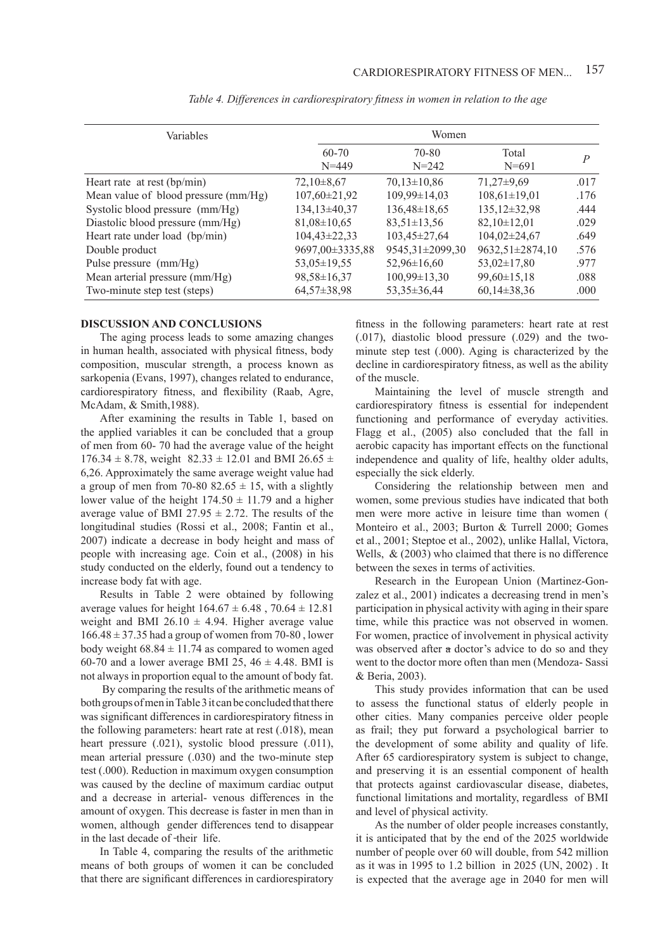| Variables                            | Women              |                    |                     |                |
|--------------------------------------|--------------------|--------------------|---------------------|----------------|
|                                      | $60 - 70$          | 70-80              | Total               | $\overline{P}$ |
|                                      | $N = 449$          | $N = 242$          | $N = 691$           |                |
| Heart rate at rest $(bp/min)$        | $72,10\pm8,67$     | $70,13 \pm 10,86$  | $71,27\pm9,69$      | .017           |
| Mean value of blood pressure (mm/Hg) | $107,60 \pm 21,92$ | 109,99±14,03       | $108,61 \pm 19,01$  | .176           |
| Systolic blood pressure (mm/Hg)      | 134,13±40,37       | $136,48 \pm 18,65$ | $135, 12\pm 32, 98$ | .444           |
| Diastolic blood pressure (mm/Hg)     | $81,08 \pm 10,65$  | $83,51 \pm 13,56$  | $82,10\pm12,01$     | .029           |
| Heart rate under load (bp/min)       | $104,43\pm22,33$   | $103,45\pm27,64$   | $104,02\pm 24,67$   | .649           |
| Double product                       | 9697,00±3335,88    | 9545,31±2099,30    | 9632,51±2874,10     | .576           |
| Pulse pressure (mm/Hg)               | $53,05 \pm 19,55$  | $52,96\pm 16,60$   | $53,02 \pm 17,80$   | .977           |
| Mean arterial pressure (mm/Hg)       | $98,58 \pm 16,37$  | $100,99\pm13,30$   | $99,60 \pm 15,18$   | .088           |
| Two-minute step test (steps)         | $64,57\pm38,98$    | $53,35\pm36,44$    | $60,14\pm38,36$     | .000           |

 *Table 4. Differences in cardiorespiratory fitness in women in relation to the age*

#### **DISCUSSION AND CONCLUSIONS**

The aging process leads to some amazing changes in human health, associated with physical fitness, body composition, muscular strength, a process known as sarkopenia (Evans, 1997), changes related to endurance, cardiorespiratory fitness, and flexibility (Raab, Agre, McAdam, & Smith,1988).

After examining the results in Table 1, based on the applied variables it can be concluded that a group of men from 60- 70 had the average value of the height  $176.34 \pm 8.78$ , weight  $82.33 \pm 12.01$  and BMI 26.65  $\pm$ 6,26. Approximately the same average weight value had a group of men from 70-80 82.65  $\pm$  15, with a slightly lower value of the height  $174.50 \pm 11.79$  and a higher average value of BMI 27.95  $\pm$  2.72. The results of the longitudinal studies (Rossi et al., 2008; Fantin et al., 2007) indicate a decrease in body height and mass of people with increasing age. Coin et al., (2008) in his study conducted on the elderly, found out a tendency to increase body fat with age.

Results in Table 2 were obtained by following average values for height  $164.67 \pm 6.48$ ,  $70.64 \pm 12.81$ weight and BMI 26.10  $\pm$  4.94. Higher average value  $166.48 \pm 37.35$  had a group of women from 70-80, lower body weight  $68.84 \pm 11.74$  as compared to women aged 60-70 and a lower average BMI 25,  $46 \pm 4.48$ . BMI is not always in proportion equal to the amount of body fat.

 By comparing the results of the arithmetic means of both groups of men in Table 3 it can be concluded that there was significant differences in cardiorespiratory fitness in the following parameters: heart rate at rest (.018), mean heart pressure (.021), systolic blood pressure (.011), mean arterial pressure (.030) and the two-minute step test (.000). Reduction in maximum oxygen consumption was caused by the decline of maximum cardiac output and a decrease in arterial- venous differences in the amount of oxygen. This decrease is faster in men than in women, although gender differences tend to disappear in the last decade of -their life.

In Table 4, comparing the results of the arithmetic means of both groups of women it can be concluded that there are significant differences in cardiorespiratory fitness in the following parameters: heart rate at rest (.017), diastolic blood pressure (.029) and the twominute step test (.000). Aging is characterized by the decline in cardiorespiratory fitness, as well as the ability of the muscle.

Maintaining the level of muscle strength and cardiorespiratory fitness is essential for independent functioning and performance of everyday activities. Flagg et al., (2005) also concluded that the fall in aerobic capacity has important effects on the functional independence and quality of life, healthy older adults, especially the sick elderly.

Considering the relationship between men and women, some previous studies have indicated that both men were more active in leisure time than women ( Monteiro et al., 2003; Burton & Turrell 2000; Gomes et al., 2001; Steptoe et al., 2002), unlike Hallal, Victora, Wells, & (2003) who claimed that there is no difference between the sexes in terms of activities.

Research in the European Union (Martinez-Gonzalez et al., 2001) indicates a decreasing trend in men's participation in physical activity with aging in their spare time, while this practice was not observed in women. For women, practice of involvement in physical activity was observed after a doctor's advice to do so and they went to the doctor more often than men (Mendoza- Sassi & Beria, 2003).

This study provides information that can be used to assess the functional status of elderly people in other cities. Many companies perceive older people as frail; they put forward a psychological barrier to the development of some ability and quality of life. After 65 cardiorespiratory system is subject to change, and preserving it is an essential component of health that protects against cardiovascular disease, diabetes, functional limitations and mortality, regardless of BMI and level of physical activity.

As the number of older people increases constantly, it is anticipated that by the end of the 2025 worldwide number of people over 60 will double, from 542 million as it was in 1995 to 1.2 billion in 2025 (UN, 2002) . It is expected that the average age in 2040 for men will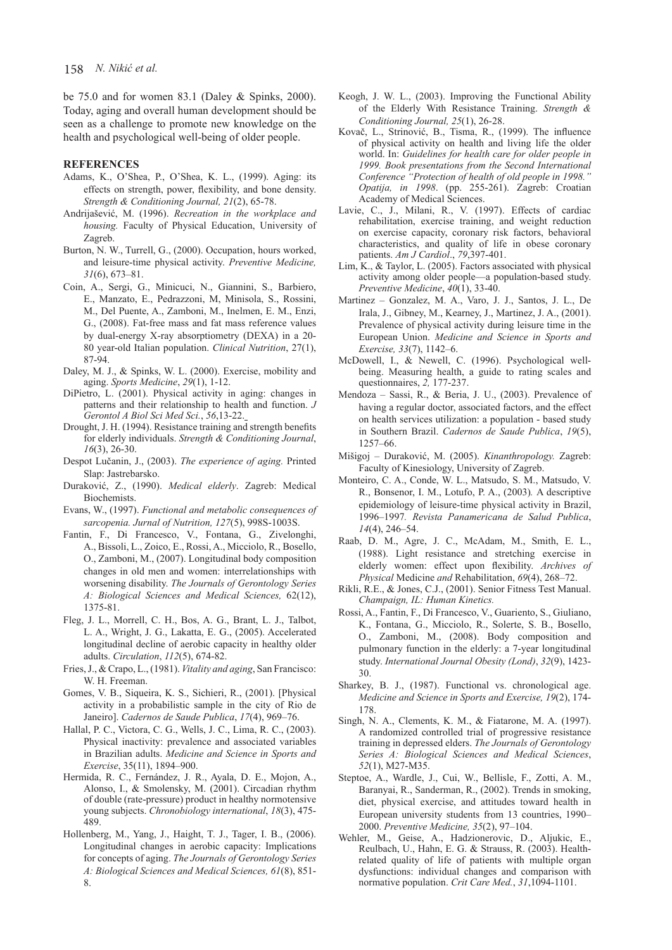be 75.0 and for women 83.1 (Daley & Spinks, 2000). Today, aging and overall human development should be seen as a challenge to promote new knowledge on the health and psychological well-being of older people.

#### **REFERENCES**

- Adams, K., O'Shea, P., O'Shea, K. L., (1999). Aging: its effects on strength, power, flexibility, and bone density. *Strength & Conditioning Journal, 21*(2), 65-78.
- Andrijašević, M. (1996). *Recreation in the workplace and housing.* Faculty of Physical Education, University of Zagreb.
- Burton, N. W., Turrell, G., (2000). Occupation, hours worked, and leisure-time physical activity. *Preventive Medicine, 31*(6), 673–81.
- Coin, A., Sergi, G., Minicuci, N., Giannini, S., Barbiero, E., Manzato, E., Pedrazzoni, M, Minisola, S., Rossini, M., Del Puente, A., Zamboni, M., Inelmen, E. M., Enzi, G., (2008). Fat-free mass and fat mass reference values by dual-energy X-ray absorptiometry (DEXA) in a 20- 80 year-old Italian population. *Clinical Nutrition*, 27(1), 87-94.
- Daley, M. J., & Spinks, W. L. (2000). Exercise, mobility and aging. *Sports Medicine*, *29*(1), 1-12.
- DiPietro, L. (2001). Physical activity in aging: changes in patterns and their relationship to health and function. *J Gerontol A Biol Sci Med Sci.*, *56*,13-22.
- Drought, J. H. (1994). Resistance training and strength benefits for elderly individuals. *Strength & Conditioning Journal*, *16*(3), 26-30.
- Despot Lučanin, J., (2003). *The experience of aging.* Printed Slap: Jastrebarsko.
- Duraković, Z., (1990). *Medical elderly*. Zagreb: Medical Biochemists.
- Evans, W., (1997). *Functional and metabolic consequences of sarcopenia. Jurnal of Nutrition, 127*(5), 998S-1003S.
- Fantin, F., Di Francesco, V., Fontana, G., Zivelonghi, A., Bissoli, L., Zoico, E., Rossi, A., Micciolo, R., Bosello, O., Zamboni, M., (2007). Longitudinal body composition changes in old men and women: interrelationships with worsening disability. *The Journals of Gerontology Series A: Biological Sciences and Medical Sciences,* 62(12), 1375-81.
- Fleg, J. L., Morrell, C. H., Bos, A. G., Brant, L. J., Talbot, L. A., Wright, J. G., Lakatta, E. G., (2005). Accelerated longitudinal decline of aerobic capacity in healthy older adults. *Circulation*, *112*(5), 674-82.
- Fries, J., & Crapo, L., (1981). *Vitality and aging*, San Francisco: W. H. Freeman.
- Gomes, V. B., Siqueira, K. S., Sichieri, R., (2001). [Physical activity in a probabilistic sample in the city of Rio de Janeiro]. *Cadernos de Saude Publica*, *17*(4), 969–76.
- Hallal, P. C., Victora, C. G., Wells, J. C., Lima, R. C., (2003). Physical inactivity: prevalence and associated variables in Brazilian adults. *Medicine and Science in Sports and Exercise*, 35(11), 1894–900.
- Hermida, R. C., Fernández, J. R., Ayala, D. E., Mojon, A., Alonso, I., & Smolensky, M. (2001). Circadian rhythm of double (rate-pressure) product in healthy normotensive young subjects. *Chronobiology international*, *18*(3), 475- 489.
- Hollenberg, M., Yang, J., Haight, T. J., Tager, I. B., (2006). Longitudinal changes in aerobic capacity: Implications for concepts of aging. *The Journals of Gerontology Series A: Biological Sciences and Medical Sciences, 61*(8), 851- 8.
- Keogh, J. W. L., (2003). Improving the Functional Ability of the Elderly With Resistance Training. *Strength & Conditioning Journal, 25*(1), 26-28.
- Kovač, L., Strinović, B., Tisma, R., (1999). The influence of physical activity on health and living life the older world. In: *Guidelines for health care for older people in 1999. Book presentations from the Second International Conference "Protection of health of old people in 1998." Opatija, in 1998*. (pp. 255-261). Zagreb: Croatian Academy of Medical Sciences.
- Lavie, C., J., Milani, R., V. (1997). Effects of cardiac rehabilitation, exercise training, and weight reduction on exercise capacity, coronary risk factors, behavioral characteristics, and quality of life in obese coronary patients. *Am J Cardiol*., *79*,397-401.
- Lim, K., & Taylor, L. (2005). Factors associated with physical activity among older people—a population-based study. *Preventive Medicine*, *40*(1), 33-40.
- Martinez Gonzalez, M. A., Varo, J. J., Santos, J. L., De Irala, J., Gibney, M., Kearney, J., Martinez, J. A., (2001). Prevalence of physical activity during leisure time in the European Union. *Medicine and Science in Sports and Exercise, 33*(7), 1142–6.
- McDowell, I., & Newell, C. (1996). Psychological wellbeing. Measuring health, a guide to rating scales and questionnaires, *2,* 177-237.
- Mendoza Sassi, R., & Beria, J. U., (2003). Prevalence of having a regular doctor, associated factors, and the effect on health services utilization: a population - based study in Southern Brazil. *Cadernos de Saude Publica*, *19*(5), 1257–66.
- Mišigoj Duraković, M. (2005). *Kinanthropology.* Zagreb: Faculty of Kinesiology, University of Zagreb.
- Monteiro, C. A., Conde, W. L., Matsudo, S. M., Matsudo, V. R., Bonsenor, I. M., Lotufo, P. A., (2003)*.* A descriptive epidemiology of leisure-time physical activity in Brazil, 1996–1997*. Revista Panamericana de Salud Publica*, *14*(4), 246–54.
- Raab, D. M., Agre, J. C., McAdam, M., Smith, E. L., (1988). Light resistance and stretching exercise in elderly women: effect upon flexibility. *Archives of Physical* Medicine *and* Rehabilitation, *69*(4), 268–72.
- Rikli, R.E., & Jones, C.J., (2001). Senior Fitness Test Manual. *Champaign, IL: Human Kinetics.*
- Rossi, A., Fantin, F., Di Francesco, V., Guariento, S., Giuliano, K., Fontana, G., Micciolo, R., Solerte, S. B., Bosello, O., Zamboni, M., (2008). Body composition and pulmonary function in the elderly: a 7-year longitudinal study. *International Journal Obesity (Lond)*, *32*(9), 1423- 30.
- Sharkey, B. J., (1987). Functional vs. chronological age. *Medicine and Science in Sports and Exercise, 19*(2), 174- 178.
- Singh, N. A., Clements, K. M., & Fiatarone, M. A. (1997). A randomized controlled trial of progressive resistance training in depressed elders. *The Journals of Gerontology Series A: Biological Sciences and Medical Sciences*, *52*(1), M27-M35.
- Steptoe, A., Wardle, J., Cui, W., Bellisle, F., Zotti, A. M., Baranyai, R., Sanderman, R., (2002). Trends in smoking, diet, physical exercise, and attitudes toward health in European university students from 13 countries, 1990– 2000. *Preventive Medicine, 35*(2), 97–104.
- Wehler, M., Geise, A., Hadzionerovic, D., Aljukic, E., Reulbach, U., Hahn, E. G. & Strauss, R. (2003). Healthrelated quality of life of patients with multiple organ dysfunctions: individual changes and comparison with normative population. *Crit Care Med.*, *31*,1094-1101.